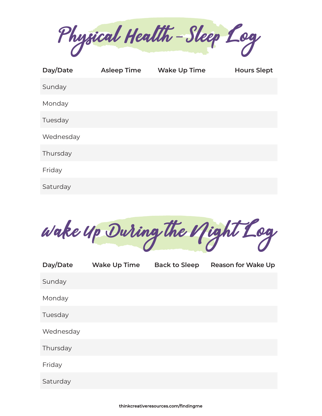Physical Health – Sleep Log

| Day/Date  | <b>Asleep Time</b> | <b>Wake Up Time</b> | <b>Hours Slept</b> |
|-----------|--------------------|---------------------|--------------------|
| Sunday    |                    |                     |                    |
| Monday    |                    |                     |                    |
| Tuesday   |                    |                     |                    |
| Wednesday |                    |                     |                    |
| Thursday  |                    |                     |                    |
| Friday    |                    |                     |                    |
| Saturday  |                    |                     |                    |

Wake Up During the Night Log

| Day/Date  | <b>Wake Up Time</b> | <b>Back to Sleep</b> | <b>Reason for Wake Up</b> |
|-----------|---------------------|----------------------|---------------------------|
| Sunday    |                     |                      |                           |
| Monday    |                     |                      |                           |
| Tuesday   |                     |                      |                           |
| Wednesday |                     |                      |                           |
| Thursday  |                     |                      |                           |
| Friday    |                     |                      |                           |
| Saturday  |                     |                      |                           |